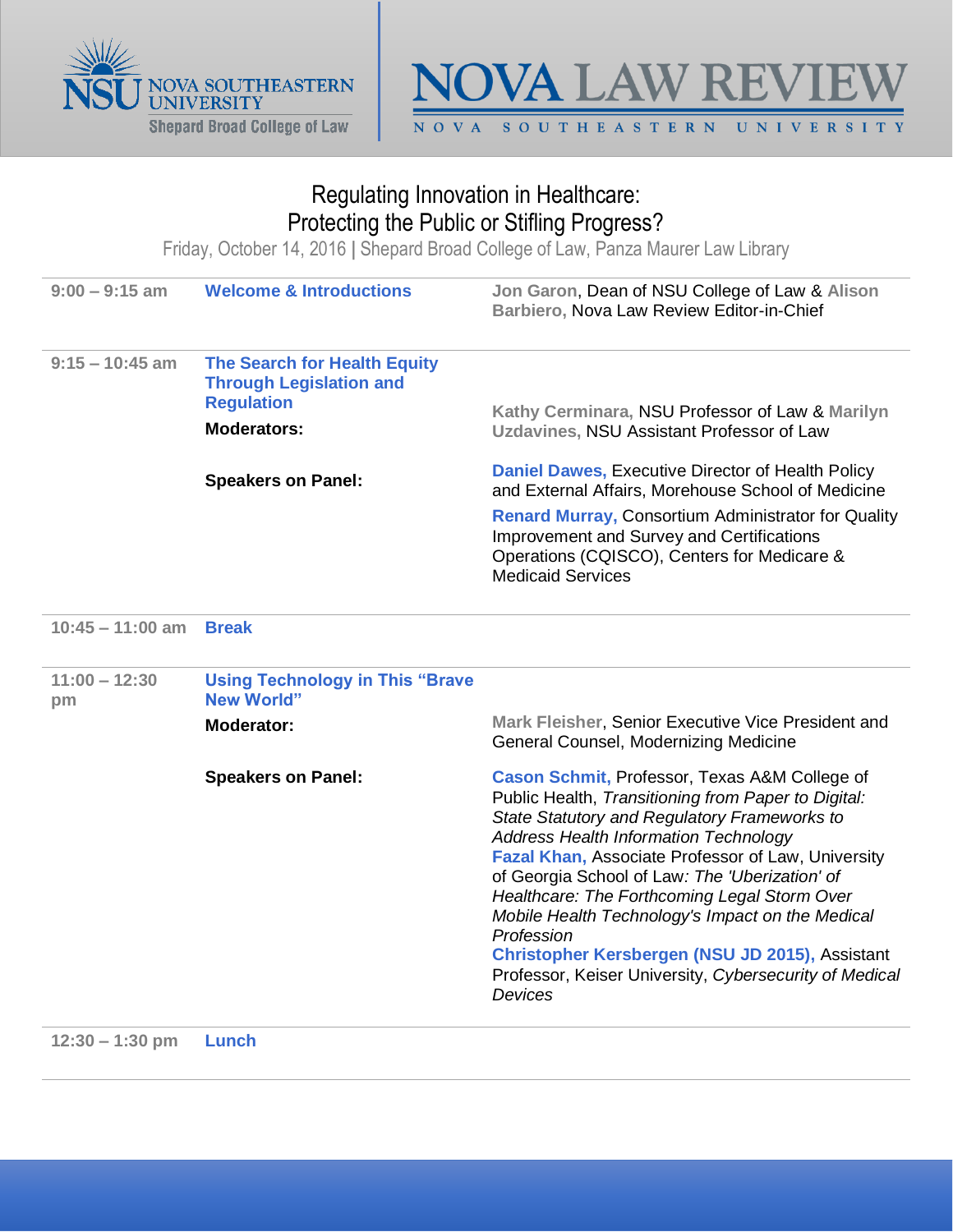



## Regulating Innovation in Healthcare: Protecting the Public or Stifling Progress?

Friday, October 14, 2016 **|** Shepard Broad College of Law, Panza Maurer Law Library

| $9:00 - 9:15$ am      | <b>Welcome &amp; Introductions</b>                                                                                                            | Jon Garon, Dean of NSU College of Law & Alison<br>Barbiero, Nova Law Review Editor-in-Chief                                                                                                                                                                                                                                                                                                                                                                                                                                                            |
|-----------------------|-----------------------------------------------------------------------------------------------------------------------------------------------|--------------------------------------------------------------------------------------------------------------------------------------------------------------------------------------------------------------------------------------------------------------------------------------------------------------------------------------------------------------------------------------------------------------------------------------------------------------------------------------------------------------------------------------------------------|
| $9:15 - 10:45$ am     | <b>The Search for Health Equity</b><br><b>Through Legislation and</b><br><b>Regulation</b><br><b>Moderators:</b><br><b>Speakers on Panel:</b> | Kathy Cerminara, NSU Professor of Law & Marilyn<br>Uzdavines, NSU Assistant Professor of Law<br><b>Daniel Dawes, Executive Director of Health Policy</b><br>and External Affairs, Morehouse School of Medicine<br><b>Renard Murray, Consortium Administrator for Quality</b><br><b>Improvement and Survey and Certifications</b><br>Operations (CQISCO), Centers for Medicare &<br><b>Medicaid Services</b>                                                                                                                                            |
| $10:45 - 11:00$ am    | <b>Break</b>                                                                                                                                  |                                                                                                                                                                                                                                                                                                                                                                                                                                                                                                                                                        |
| $11:00 - 12:30$<br>pm | <b>Using Technology in This "Brave</b><br><b>New World"</b><br>Moderator:                                                                     | Mark Fleisher, Senior Executive Vice President and<br>General Counsel, Modernizing Medicine                                                                                                                                                                                                                                                                                                                                                                                                                                                            |
|                       | <b>Speakers on Panel:</b>                                                                                                                     | Cason Schmit, Professor, Texas A&M College of<br>Public Health, Transitioning from Paper to Digital:<br>State Statutory and Regulatory Frameworks to<br><b>Address Health Information Technology</b><br>Fazal Khan, Associate Professor of Law, University<br>of Georgia School of Law: The 'Uberization' of<br>Healthcare: The Forthcoming Legal Storm Over<br>Mobile Health Technology's Impact on the Medical<br>Profession<br>Christopher Kersbergen (NSU JD 2015), Assistant<br>Professor, Keiser University, Cybersecurity of Medical<br>Devices |